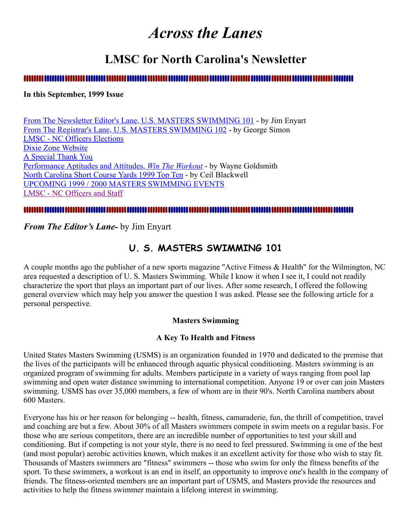# *Across the Lanes*

# **LMSC for North Carolina's Newsletter**

### 

### **In this September, 1999 Issue**

[From The Newsletter Editor's Lane, U.S. MASTERS SWIMMING 101](#page-0-0) - by Jim Enyart [From The Registrar's Lane, U.S. MASTERS SWIMMING 102](#page-1-0) - by George Simon [LMSC - NC Officers Elections](#page-2-0) [Dixie Zone Website](#page-2-1) [A Special Thank You](#page-2-2) [Performance Aptitudes and Attitudes,](#page-3-0) *Win The Workout* - by Wayne Goldsmith [North Carolina Short Course Yards 1999 Top Ten](#page-5-0) - by Ceil Blackwell [UPCOMING 1999 / 2000 MASTERS SWIMMING EVENTS](#page-7-0) [LMSC - NC Officers and Staff](#page-8-0)

### 

<span id="page-0-0"></span>*From The Editor's Lane-* by Jim Enyart

## **U. S. MASTERS SWIMMING 101**

A couple months ago the publisher of a new sports magazine "Active Fitness & Health" for the Wilmington, NC area requested a description of U. S. Masters Swimming. While I know it when I see it, I could not readily characterize the sport that plays an important part of our lives. After some research, I offered the following general overview which may help you answer the question I was asked. Please see the following article for a personal perspective.

### **Masters Swimming**

### **A Key To Health and Fitness**

United States Masters Swimming (USMS) is an organization founded in 1970 and dedicated to the premise that the lives of the participants will be enhanced through aquatic physical conditioning. Masters swimming is an organized program of swimming for adults. Members participate in a variety of ways ranging from pool lap swimming and open water distance swimming to international competition. Anyone 19 or over can join Masters swimming. USMS has over 35,000 members, a few of whom are in their 90's. North Carolina numbers about 600 Masters.

Everyone has his or her reason for belonging -- health, fitness, camaraderie, fun, the thrill of competition, travel and coaching are but a few. About 30% of all Masters swimmers compete in swim meets on a regular basis. For those who are serious competitors, there are an incredible number of opportunities to test your skill and conditioning. But if competing is not your style, there is no need to feel pressured. Swimming is one of the best (and most popular) aerobic activities known, which makes it an excellent activity for those who wish to stay fit. Thousands of Masters swimmers are "fitness" swimmers -- those who swim for only the fitness benefits of the sport. To these swimmers, a workout is an end in itself, an opportunity to improve one's health in the company of friends. The fitness-oriented members are an important part of USMS, and Masters provide the resources and activities to help the fitness swimmer maintain a lifelong interest in swimming.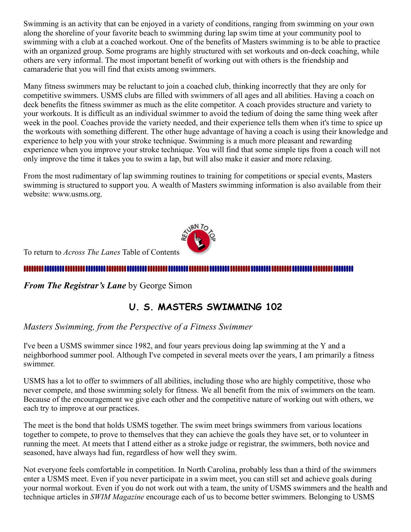Swimming is an activity that can be enjoyed in a variety of conditions, ranging from swimming on your own along the shoreline of your favorite beach to swimming during lap swim time at your community pool to swimming with a club at a coached workout. One of the benefits of Masters swimming is to be able to practice with an organized group. Some programs are highly structured with set workouts and on-deck coaching, while others are very informal. The most important benefit of working out with others is the friendship and camaraderie that you will find that exists among swimmers.

Many fitness swimmers may be reluctant to join a coached club, thinking incorrectly that they are only for competitive swimmers. USMS clubs are filled with swimmers of all ages and all abilities. Having a coach on deck benefits the fitness swimmer as much as the elite competitor. A coach provides structure and variety to your workouts. It is difficult as an individual swimmer to avoid the tedium of doing the same thing week after week in the pool. Coaches provide the variety needed, and their experience tells them when it's time to spice up the workouts with something different. The other huge advantage of having a coach is using their knowledge and experience to help you with your stroke technique. Swimming is a much more pleasant and rewarding experience when you improve your stroke technique. You will find that some simple tips from a coach will not only improve the time it takes you to swim a lap, but will also make it easier and more relaxing.

From the most rudimentary of lap swimming routines to training for competitions or special events, Masters swimming is structured to support you. A wealth of Masters swimming information is also available from their website: www.usms.org.



To return to *Across The Lanes* Table of Contents

#### .............................

<span id="page-1-0"></span>*From The Registrar's Lane* by George Simon

# **U. S. MASTERS SWIMMING 102**

*Masters Swimming, from the Perspective of a Fitness Swimmer*

I've been a USMS swimmer since 1982, and four years previous doing lap swimming at the Y and a neighborhood summer pool. Although I've competed in several meets over the years, I am primarily a fitness swimmer.

USMS has a lot to offer to swimmers of all abilities, including those who are highly competitive, those who never compete, and those swimming solely for fitness. We all benefit from the mix of swimmers on the team. Because of the encouragement we give each other and the competitive nature of working out with others, we each try to improve at our practices.

The meet is the bond that holds USMS together. The swim meet brings swimmers from various locations together to compete, to prove to themselves that they can achieve the goals they have set, or to volunteer in running the meet. At meets that I attend either as a stroke judge or registrar, the swimmers, both novice and seasoned, have always had fun, regardless of how well they swim.

Not everyone feels comfortable in competition. In North Carolina, probably less than a third of the swimmers enter a USMS meet. Even if you never participate in a swim meet, you can still set and achieve goals during your normal workout. Even if you do not work out with a team, the unity of USMS swimmers and the health and technique articles in *SWIM Magazine* encourage each of us to become better swimmers. Belonging to USMS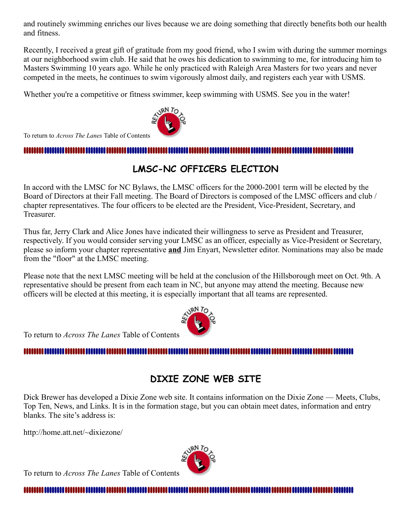and routinely swimming enriches our lives because we are doing something that directly benefits both our health and fitness.

Recently, I received a great gift of gratitude from my good friend, who I swim with during the summer mornings at our neighborhood swim club. He said that he owes his dedication to swimming to me, for introducing him to Masters Swimming 10 years ago. While he only practiced with Raleigh Area Masters for two years and never competed in the meets, he continues to swim vigorously almost daily, and registers each year with USMS.

Whether you're a competitive or fitness swimmer, keep swimming with USMS. See you in the water!



To return to *Across The Lanes* Table of Contents

<span id="page-2-0"></span>

# **LMSC-NC OFFICERS ELECTION**

In accord with the LMSC for NC Bylaws, the LMSC officers for the 2000-2001 term will be elected by the Board of Directors at their Fall meeting. The Board of Directors is composed of the LMSC officers and club / chapter representatives. The four officers to be elected are the President, Vice-President, Secretary, and Treasurer.

Thus far, Jerry Clark and Alice Jones have indicated their willingness to serve as President and Treasurer, respectively. If you would consider serving your LMSC as an officer, especially as Vice-President or Secretary, please so inform your chapter representative **and** Jim Enyart, Newsletter editor. Nominations may also be made from the "floor" at the LMSC meeting.

Please note that the next LMSC meeting will be held at the conclusion of the Hillsborough meet on Oct. 9th. A representative should be present from each team in NC, but anyone may attend the meeting. Because new officers will be elected at this meeting, it is especially important that all teams are represented.



To return to *Across The Lanes* Table of Contents

### <span id="page-2-1"></span>

# **DIXIE ZONE WEB SITE**

Dick Brewer has developed a Dixie Zone web site. It contains information on the Dixie Zone — Meets, Clubs, Top Ten, News, and Links. It is in the formation stage, but you can obtain meet dates, information and entry blanks. The site's address is:

http://home.att.net/~dixiezone/

To return to *Across The Lanes* Table of Contents



<span id="page-2-2"></span>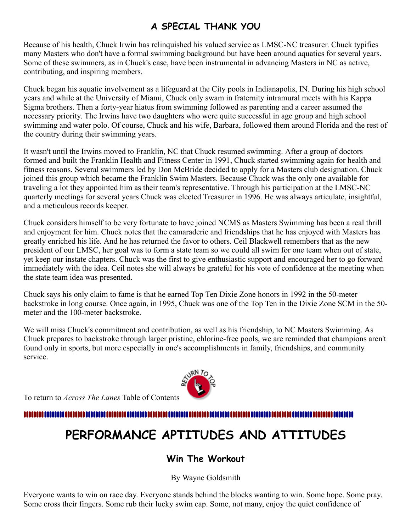# **A SPECIAL THANK YOU**

Because of his health, Chuck Irwin has relinquished his valued service as LMSC-NC treasurer. Chuck typifies many Masters who don't have a formal swimming background but have been around aquatics for several years. Some of these swimmers, as in Chuck's case, have been instrumental in advancing Masters in NC as active, contributing, and inspiring members.

Chuck began his aquatic involvement as a lifeguard at the City pools in Indianapolis, IN. During his high school years and while at the University of Miami, Chuck only swam in fraternity intramural meets with his Kappa Sigma brothers. Then a forty-year hiatus from swimming followed as parenting and a career assumed the necessary priority. The Irwins have two daughters who were quite successful in age group and high school swimming and water polo. Of course, Chuck and his wife, Barbara, followed them around Florida and the rest of the country during their swimming years.

It wasn't until the Irwins moved to Franklin, NC that Chuck resumed swimming. After a group of doctors formed and built the Franklin Health and Fitness Center in 1991, Chuck started swimming again for health and fitness reasons. Several swimmers led by Don McBride decided to apply for a Masters club designation. Chuck joined this group which became the Franklin Swim Masters. Because Chuck was the only one available for traveling a lot they appointed him as their team's representative. Through his participation at the LMSC-NC quarterly meetings for several years Chuck was elected Treasurer in 1996. He was always articulate, insightful, and a meticulous records keeper.

Chuck considers himself to be very fortunate to have joined NCMS as Masters Swimming has been a real thrill and enjoyment for him. Chuck notes that the camaraderie and friendships that he has enjoyed with Masters has greatly enriched his life. And he has returned the favor to others. Ceil Blackwell remembers that as the new president of our LMSC, her goal was to form a state team so we could all swim for one team when out of state, yet keep our instate chapters. Chuck was the first to give enthusiastic support and encouraged her to go forward immediately with the idea. Ceil notes she will always be grateful for his vote of confidence at the meeting when the state team idea was presented.

Chuck says his only claim to fame is that he earned Top Ten Dixie Zone honors in 1992 in the 50-meter backstroke in long course. Once again, in 1995, Chuck was one of the Top Ten in the Dixie Zone SCM in the 50 meter and the 100-meter backstroke.

We will miss Chuck's commitment and contribution, as well as his friendship, to NC Masters Swimming. As Chuck prepares to backstroke through larger pristine, chlorine-free pools, we are reminded that champions aren't found only in sports, but more especially in one's accomplishments in family, friendships, and community service.

To return to *Across The Lanes* Table of Contents

<span id="page-3-0"></span>

# **PERFORMANCE APTITUDES AND ATTITUDES**

### **Win The Workout**

By Wayne Goldsmith

Everyone wants to win on race day. Everyone stands behind the blocks wanting to win. Some hope. Some pray. Some cross their fingers. Some rub their lucky swim cap. Some, not many, enjoy the quiet confidence of

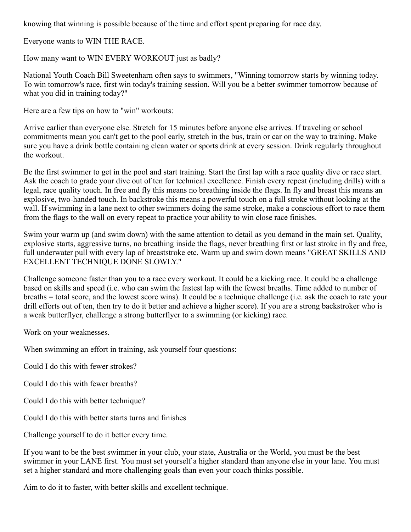knowing that winning is possible because of the time and effort spent preparing for race day.

Everyone wants to WIN THE RACE.

How many want to WIN EVERY WORKOUT just as badly?

National Youth Coach Bill Sweetenharn often says to swimmers, "Winning tomorrow starts by winning today. To win tomorrow's race, first win today's training session. Will you be a better swimmer tomorrow because of what you did in training today?"

Here are a few tips on how to "win" workouts:

Arrive earlier than everyone else. Stretch for 15 minutes before anyone else arrives. If traveling or school commitments mean you can't get to the pool early, stretch in the bus, train or car on the way to training. Make sure you have a drink bottle containing clean water or sports drink at every session. Drink regularly throughout the workout.

Be the first swimmer to get in the pool and start training. Start the first lap with a race quality dive or race start. Ask the coach to grade your dive out of ten for technical excellence. Finish every repeat (including drills) with a legal, race quality touch. In free and fly this means no breathing inside the flags. In fly and breast this means an explosive, two-handed touch. In backstroke this means a powerful touch on a full stroke without looking at the wall. If swimming in a lane next to other swimmers doing the same stroke, make a conscious effort to race them from the flags to the wall on every repeat to practice your ability to win close race finishes.

Swim your warm up (and swim down) with the same attention to detail as you demand in the main set. Quality, explosive starts, aggressive turns, no breathing inside the flags, never breathing first or last stroke in fly and free, full underwater pull with every lap of breaststroke etc. Warm up and swim down means "GREAT SKILLS AND EXCELLENT TECHNIQUE DONE SLOWLY."

Challenge someone faster than you to a race every workout. It could be a kicking race. It could be a challenge based on skills and speed (i.e. who can swim the fastest lap with the fewest breaths. Time added to number of breaths = total score, and the lowest score wins). It could be a technique challenge (i.e. ask the coach to rate your drill efforts out of ten, then try to do it better and achieve a higher score). If you are a strong backstroker who is a weak butterflyer, challenge a strong butterflyer to a swimming (or kicking) race.

Work on your weaknesses.

When swimming an effort in training, ask yourself four questions:

Could I do this with fewer strokes?

Could I do this with fewer breaths?

Could I do this with better technique?

Could I do this with better starts turns and finishes

Challenge yourself to do it better every time.

If you want to be the best swimmer in your club, your state, Australia or the World, you must be the best swimmer in your LANE first. You must set yourself a higher standard than anyone else in your lane. You must set a higher standard and more challenging goals than even your coach thinks possible.

Aim to do it to faster, with better skills and excellent technique.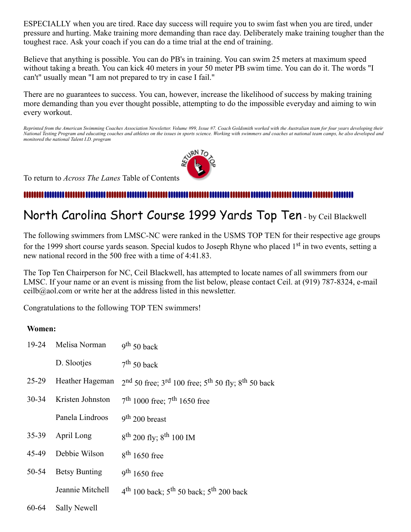ESPECIALLY when you are tired. Race day success will require you to swim fast when you are tired, under pressure and hurting. Make training more demanding than race day. Deliberately make training tougher than the toughest race. Ask your coach if you can do a time trial at the end of training.

Believe that anything is possible. You can do PB's in training. You can swim 25 meters at maximum speed without taking a breath. You can kick 40 meters in your 50 meter PB swim time. You can do it. The words "I can't" usually mean "I am not prepared to try in case I fail."

There are no guarantees to success. You can, however, increase the likelihood of success by making training more demanding than you ever thought possible, attempting to do the impossible everyday and aiming to win every workout.

*Reprinted from the American Swimming Coaches Association Newsletter. Volume #99, Issue #7. Coach Goldsmith worked with the Australian team for four years developing their National Testing Program and educating coaches and athletes on the issues in sports science. Working with swimmers and coaches at national team camps, he also developed and monitored the national Talent I.D. program*



To return to *Across The Lanes* Table of Contents

# <span id="page-5-0"></span>North Carolina Short Course 1999 Yards Top Ten - by Ceil Blackwell

The following swimmers from LMSC-NC were ranked in the USMS TOP TEN for their respective age groups for the 1999 short course yards season. Special kudos to Joseph Rhyne who placed 1<sup>st</sup> in two events, setting a new national record in the 500 free with a time of 4:41.83.

The Top Ten Chairperson for NC, Ceil Blackwell, has attempted to locate names of all swimmers from our LMSC. If your name or an event is missing from the list below, please contact Ceil. at (919) 787-8324, e-mail ceilb@aol.com or write her at the address listed in this newsletter.

Congratulations to the following TOP TEN swimmers!

### **Women:**

| 19-24     | Melisa Norman        | $9th 50$ back                                              |
|-----------|----------------------|------------------------------------------------------------|
|           | D. Slootjes          | $7th 50$ back                                              |
| $25-29$   | Heather Hageman      | $2nd$ 50 free; $3rd$ 100 free; $5th$ 50 fly; $8th$ 50 back |
| $30 - 34$ | Kristen Johnston     | $7th 1000$ free; $7th 1650$ free                           |
|           | Panela Lindroos      | $9th 200$ breast                                           |
| $35-39$   | April Long           | $8^{th}$ 200 fly; $8^{th}$ 100 IM                          |
| 45-49     | Debbie Wilson        | $8th$ 1650 free                                            |
| 50-54     | <b>Betsy Bunting</b> | $9th 1650$ free                                            |
|           | Jeannie Mitchell     | $4^{th}$ 100 back; $5^{th}$ 50 back; $5^{th}$ 200 back     |
|           |                      |                                                            |

60-64 Sally Newell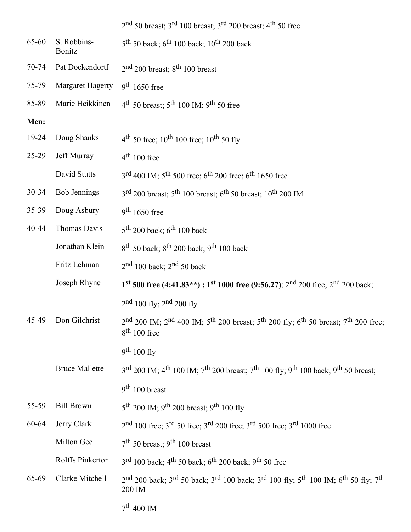2<sup>nd</sup> 50 breast; 3<sup>rd</sup> 100 breast; 3<sup>rd</sup> 200 breast; 4<sup>th</sup> 50 free 65-60 S. Robbins-Bonitz  $5^{\text{th}}$  50 back; 6<sup>th</sup> 100 back; 10<sup>th</sup> 200 back 70-74 Pat Dockendortf <sup>nd</sup> 200 breast; 8<sup>th</sup> 100 breast 75-79 Margaret Hagerty 9  $th$  1650 free 85-89 Marie Heikkinen 4 <sup>th</sup> 50 breast;  $5<sup>th</sup> 100$  IM;  $9<sup>th</sup> 50$  free **Men:** 19-24 Doug Shanks 4 <sup>th</sup> 50 free;  $10^{th}$  100 free;  $10^{th}$  50 fly 25-29 Jeff Murray th 100 free David Stutts <sup>rd</sup> 400 IM; 5<sup>th</sup> 500 free; 6<sup>th</sup> 200 free; 6<sup>th</sup> 1650 free 30-34 Bob Jennings 3 <sup>rd</sup> 200 breast; 5<sup>th</sup> 100 breast; 6<sup>th</sup> 50 breast; 10<sup>th</sup> 200 IM 35-39 Doug Asbury  $th$  1650 free 40-44 Thomas Davis <sup>th</sup> 200 back;  $6^{\text{th}}$  100 back Jonathan Klein <sup>th</sup> 50 back;  $8<sup>th</sup>$  200 back;  $9<sup>th</sup>$  100 back Fritz Lehman 2 nd 100 back; 2<sup>nd</sup> 50 back Joseph Rhyne **1 st 500 free (4:41.83\*\*) ; 1st 1000 free (9:56.27)**; 2nd 200 free; 2nd 200 back;  $2<sup>nd</sup> 100$  fly;  $2<sup>nd</sup> 200$  fly 45-49 Don Gilchrist 2 nd 200 IM; 2<sup>nd</sup> 400 IM; 5<sup>th</sup> 200 breast; 5<sup>th</sup> 200 fly; 6<sup>th</sup> 50 breast; 7<sup>th</sup> 200 free; 8<sup>th</sup> 100 free 9<sup>th</sup> 100 fly **Bruce Mallette** <sup>rd</sup> 200 IM; 4<sup>th</sup> 100 IM; 7<sup>th</sup> 200 breast; 7<sup>th</sup> 100 fly; 9<sup>th</sup> 100 back; 9<sup>th</sup> 50 breast; 9<sup>th</sup> 100 breast 55-59 Bill Brown <sup>th</sup> 200 IM; 9<sup>th</sup> 200 breast; 9<sup>th</sup> 100 fly 60-64 Jerry Clark 2 <sup>nd</sup> 100 free; 3<sup>rd</sup> 50 free; 3<sup>rd</sup> 200 free; 3<sup>rd</sup> 500 free; 3<sup>rd</sup> 1000 free Milton Gee <sup>th</sup> 50 breast; 9<sup>th</sup> 100 breast Rolffs Pinkerton <sup>rd</sup> 100 back; 4<sup>th</sup> 50 back; 6<sup>th</sup> 200 back; 9<sup>th</sup> 50 free 65-69 Clarke Mitchell 2 nd 200 back; 3<sup>rd</sup> 50 back; 3<sup>rd</sup> 100 back; 3<sup>rd</sup> 100 fly; 5<sup>th</sup> 100 IM; 6<sup>th</sup> 50 fly; 7<sup>th</sup> 200 IM  $7^{\text{th}}$  400 IM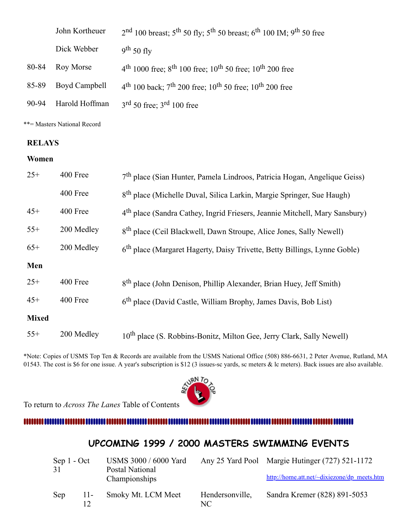|       | John Kortheuer | $2nd$ 100 breast; 5 <sup>th</sup> 50 fly; 5 <sup>th</sup> 50 breast; 6 <sup>th</sup> 100 IM; 9 <sup>th</sup> 50 free |  |
|-------|----------------|----------------------------------------------------------------------------------------------------------------------|--|
|       | Dick Webber    | $9th 50$ fly                                                                                                         |  |
| 80-84 | Roy Morse      | $4th 1000$ free; $8th 100$ free; $10th 50$ free; $10th 200$ free                                                     |  |
| 85-89 | Boyd Campbell  | $4th$ 100 back; $7th$ 200 free; $10th$ 50 free; $10th$ 200 free                                                      |  |
| 90-94 | Harold Hoffman | $3rd 50$ free; $3rd 100$ free                                                                                        |  |
|       |                |                                                                                                                      |  |

\*\*= Masters National Record

### **RELAYS**

### **Women**

| $25+$        | 400 Free   | 7 <sup>th</sup> place (Sian Hunter, Pamela Lindroos, Patricia Hogan, Angelique Geiss)   |
|--------------|------------|-----------------------------------------------------------------------------------------|
|              | 400 Free   | 8 <sup>th</sup> place (Michelle Duval, Silica Larkin, Margie Springer, Sue Haugh)       |
| $45+$        | 400 Free   | 4 <sup>th</sup> place (Sandra Cathey, Ingrid Friesers, Jeannie Mitchell, Mary Sansbury) |
| $55+$        | 200 Medley | 8 <sup>th</sup> place (Ceil Blackwell, Dawn Stroupe, Alice Jones, Sally Newell)         |
| $65+$        | 200 Medley | 6 <sup>th</sup> place (Margaret Hagerty, Daisy Trivette, Betty Billings, Lynne Goble)   |
| Men          |            |                                                                                         |
| $25+$        | 400 Free   | 8 <sup>th</sup> place (John Denison, Phillip Alexander, Brian Huey, Jeff Smith)         |
| $45+$        | 400 Free   | 6 <sup>th</sup> place (David Castle, William Brophy, James Davis, Bob List)             |
| <b>Mixed</b> |            |                                                                                         |
| $55+$        | 200 Medley | 10 <sup>th</sup> place (S. Robbins-Bonitz, Milton Gee, Jerry Clark, Sally Newell)       |

\*Note: Copies of USMS Top Ten & Records are available from the USMS National Office (508) 886-6631, 2 Peter Avenue, Rutland, MA 01543. The cost is \$6 for one issue. A year's subscription is \$12 (3 issues-sc yards, sc meters & lc meters). Back issues are also available.

To return to *Across The Lanes* Table of Contents



### 

### **UPCOMING 1999 / 2000 MASTERS SWIMMING EVENTS**

<span id="page-7-0"></span>

| Sep 1 - Oct<br>31 |       | USMS 3000 / 6000 Yard<br>Postal National<br>Championships |                       | Any 25 Yard Pool Margie Hutinger (727) 521-1172<br>http://home.att.net/~dixiezone/dp_meets.htm |
|-------------------|-------|-----------------------------------------------------------|-----------------------|------------------------------------------------------------------------------------------------|
| Sep               | $11-$ | Smoky Mt. LCM Meet                                        | Hendersonville,<br>NС | Sandra Kremer (828) 891-5053                                                                   |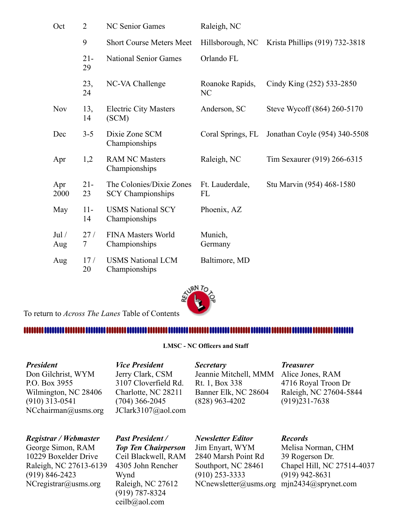| Oct          | $\overline{2}$ | <b>NC Senior Games</b>                               | Raleigh, NC           |                                |
|--------------|----------------|------------------------------------------------------|-----------------------|--------------------------------|
|              | 9              | <b>Short Course Meters Meet</b>                      | Hillsborough, NC      | Krista Phillips (919) 732-3818 |
|              | $21 -$<br>29   | <b>National Senior Games</b>                         | Orlando FL            |                                |
|              | 23,<br>24      | NC-VA Challenge                                      | Roanoke Rapids,<br>NC | Cindy King (252) 533-2850      |
| <b>Nov</b>   | 13,<br>14      | <b>Electric City Masters</b><br>(SCM)                | Anderson, SC          | Steve Wycoff (864) 260-5170    |
| Dec          | $3 - 5$        | Dixie Zone SCM<br>Championships                      | Coral Springs, FL     | Jonathan Coyle (954) 340-5508  |
| Apr          | 1,2            | <b>RAM NC Masters</b><br>Championships               | Raleigh, NC           | Tim Sexaurer (919) 266-6315    |
| Apr<br>2000  | $21 -$<br>23   | The Colonies/Dixie Zones<br><b>SCY</b> Championships | Ft. Lauderdale,<br>FL | Stu Marvin (954) 468-1580      |
| May          | $11-$<br>14    | <b>USMS National SCY</b><br>Championships            | Phoenix, AZ           |                                |
| Jul /<br>Aug | 27/<br>7       | <b>FINA Masters World</b><br>Championships           | Munich,<br>Germany    |                                |
| Aug          | 17/<br>20      | <b>USMS National LCM</b><br>Championships            | Baltimore, MD         |                                |



To return to *Across The Lanes* Table of Contents

### <span id="page-8-0"></span>

#### **LMSC - NC Officers and Staff**

### *President*

Don Gilchrist, WYM P.O. Box 3955 Wilmington, NC 28406 (910) 313-0541 NCchairman@usms.org

### *Registrar / Webmaster*

George Simon, RAM 10229 Boxelder Drive Raleigh, NC 27613-6139 (919) 846-2423 NCregistrar@usms.org

### Jerry Clark, CSM 3107 Cloverfield Rd. Charlotte, NC 28211 (704) 366-2045

JClark3107@aol.com

*Vice President*

*Secretary* Jeannie Mitchell, MMM Alice Jones, RAM Rt. 1, Box 338 Banner Elk, NC 28604 (828) 963-4202

#### *Treasurer*

4716 Royal Troon Dr Raleigh, NC 27604-5844 (919)231-7638

*Past President /* 

*Top Ten Chairperson* Ceil Blackwell, RAM 4305 John Rencher Wynd Raleigh, NC 27612 (919) 787-8324 ceilb@aol.com

*Newsletter Editor* Jim Enyart, WYM 2840 Marsh Point Rd Southport, NC 28461 (910) 253-3333

*Records*

NCnewsletter@usms.org mjn2434@sprynet.comMelisa Norman, CHM 39 Rogerson Dr. Chapel Hill, NC 27514-4037 (919) 942-8631